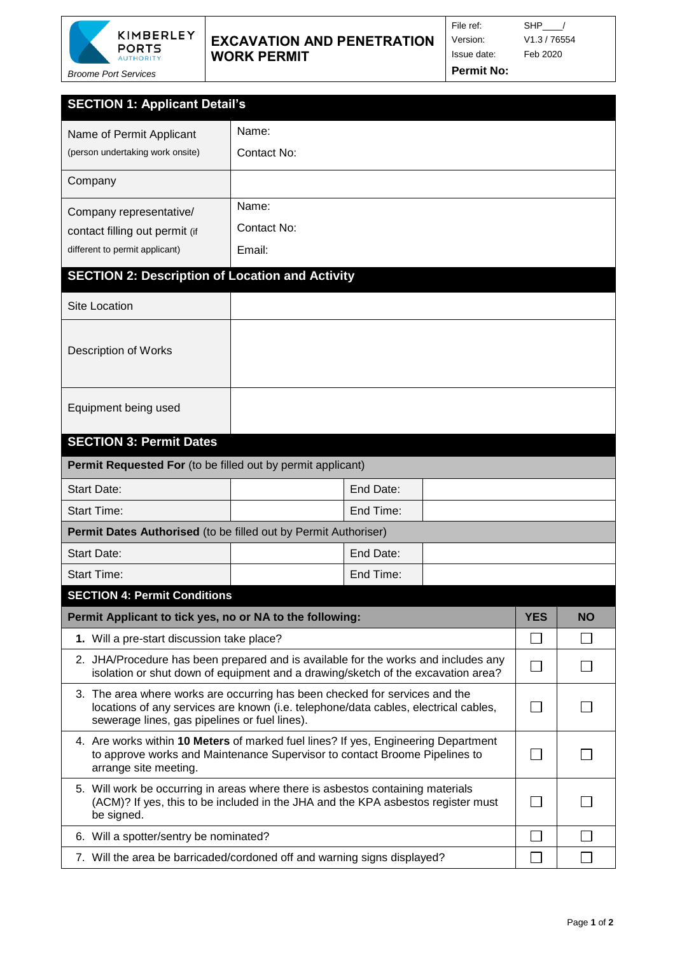

## **EXCAVATION AND PENETRATION WORK PERMIT**

*Broome Port Services*

Issue date: Feb 2020

File ref: SHP\_\_\_/ Version: V1.3 / 76554

**Permit No:**

| <b>SECTION 1: Applicant Detail's</b>                                                                                                                                                      |                                                                                                                                                                                                                     |           |  |  |  |  |  |  |  |  |
|-------------------------------------------------------------------------------------------------------------------------------------------------------------------------------------------|---------------------------------------------------------------------------------------------------------------------------------------------------------------------------------------------------------------------|-----------|--|--|--|--|--|--|--|--|
| Name of Permit Applicant                                                                                                                                                                  | Name:                                                                                                                                                                                                               |           |  |  |  |  |  |  |  |  |
| (person undertaking work onsite)                                                                                                                                                          | Contact No:                                                                                                                                                                                                         |           |  |  |  |  |  |  |  |  |
| Company                                                                                                                                                                                   |                                                                                                                                                                                                                     |           |  |  |  |  |  |  |  |  |
| Company representative/                                                                                                                                                                   | Name:                                                                                                                                                                                                               |           |  |  |  |  |  |  |  |  |
| contact filling out permit (if                                                                                                                                                            | Contact No:                                                                                                                                                                                                         |           |  |  |  |  |  |  |  |  |
| different to permit applicant)                                                                                                                                                            | Email:                                                                                                                                                                                                              |           |  |  |  |  |  |  |  |  |
|                                                                                                                                                                                           | <b>SECTION 2: Description of Location and Activity</b>                                                                                                                                                              |           |  |  |  |  |  |  |  |  |
| <b>Site Location</b>                                                                                                                                                                      |                                                                                                                                                                                                                     |           |  |  |  |  |  |  |  |  |
| <b>Description of Works</b>                                                                                                                                                               |                                                                                                                                                                                                                     |           |  |  |  |  |  |  |  |  |
| Equipment being used                                                                                                                                                                      |                                                                                                                                                                                                                     |           |  |  |  |  |  |  |  |  |
| <b>SECTION 3: Permit Dates</b>                                                                                                                                                            |                                                                                                                                                                                                                     |           |  |  |  |  |  |  |  |  |
| Permit Requested For (to be filled out by permit applicant)                                                                                                                               |                                                                                                                                                                                                                     |           |  |  |  |  |  |  |  |  |
| <b>Start Date:</b>                                                                                                                                                                        | End Date:                                                                                                                                                                                                           |           |  |  |  |  |  |  |  |  |
| <b>Start Time:</b>                                                                                                                                                                        | End Time:                                                                                                                                                                                                           |           |  |  |  |  |  |  |  |  |
| Permit Dates Authorised (to be filled out by Permit Authoriser)                                                                                                                           |                                                                                                                                                                                                                     |           |  |  |  |  |  |  |  |  |
| <b>Start Date:</b>                                                                                                                                                                        | End Date:                                                                                                                                                                                                           |           |  |  |  |  |  |  |  |  |
| <b>Start Time:</b>                                                                                                                                                                        | End Time:                                                                                                                                                                                                           |           |  |  |  |  |  |  |  |  |
| <b>SECTION 4: Permit Conditions</b>                                                                                                                                                       |                                                                                                                                                                                                                     |           |  |  |  |  |  |  |  |  |
| Permit Applicant to tick yes, no or NA to the following:                                                                                                                                  | <b>YES</b>                                                                                                                                                                                                          | <b>NO</b> |  |  |  |  |  |  |  |  |
|                                                                                                                                                                                           | 1. Will a pre-start discussion take place?                                                                                                                                                                          |           |  |  |  |  |  |  |  |  |
|                                                                                                                                                                                           | 2. JHA/Procedure has been prepared and is available for the works and includes any<br>isolation or shut down of equipment and a drawing/sketch of the excavation area?                                              |           |  |  |  |  |  |  |  |  |
|                                                                                                                                                                                           | 3. The area where works are occurring has been checked for services and the<br>locations of any services are known (i.e. telephone/data cables, electrical cables,<br>sewerage lines, gas pipelines or fuel lines). |           |  |  |  |  |  |  |  |  |
| 4. Are works within 10 Meters of marked fuel lines? If yes, Engineering Department<br>to approve works and Maintenance Supervisor to contact Broome Pipelines to<br>arrange site meeting. | M.                                                                                                                                                                                                                  |           |  |  |  |  |  |  |  |  |
| 5. Will work be occurring in areas where there is asbestos containing materials<br>(ACM)? If yes, this to be included in the JHA and the KPA asbestos register must<br>be signed.         | <b>College</b>                                                                                                                                                                                                      |           |  |  |  |  |  |  |  |  |
|                                                                                                                                                                                           | 6. Will a spotter/sentry be nominated?                                                                                                                                                                              |           |  |  |  |  |  |  |  |  |
|                                                                                                                                                                                           | 7. Will the area be barricaded/cordoned off and warning signs displayed?                                                                                                                                            |           |  |  |  |  |  |  |  |  |